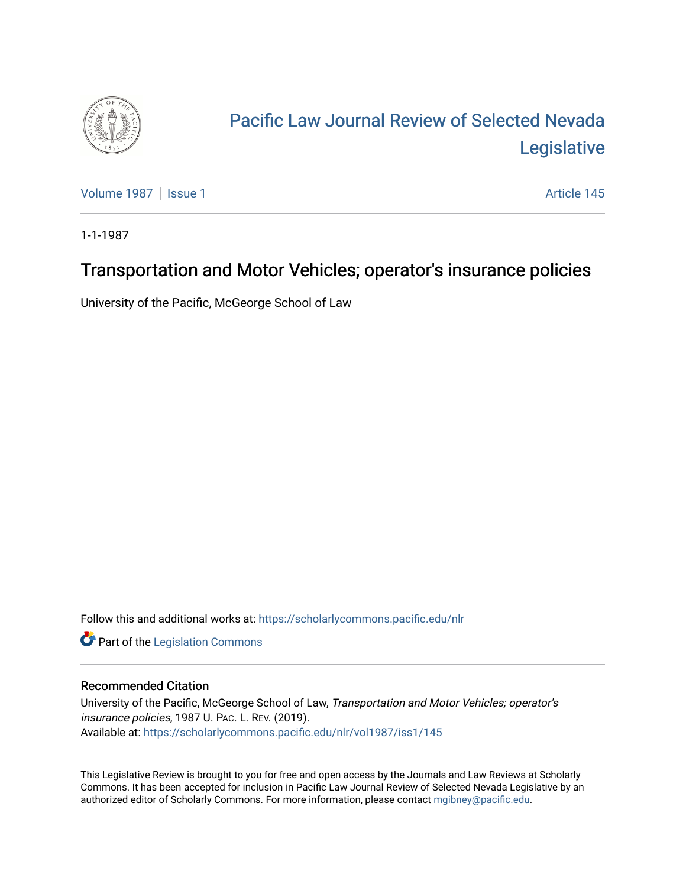

# [Pacific Law Journal Review of Selected Nevada](https://scholarlycommons.pacific.edu/nlr)  [Legislative](https://scholarlycommons.pacific.edu/nlr)

[Volume 1987](https://scholarlycommons.pacific.edu/nlr/vol1987) | [Issue 1](https://scholarlycommons.pacific.edu/nlr/vol1987/iss1) Article 145

1-1-1987

## Transportation and Motor Vehicles; operator's insurance policies

University of the Pacific, McGeorge School of Law

Follow this and additional works at: [https://scholarlycommons.pacific.edu/nlr](https://scholarlycommons.pacific.edu/nlr?utm_source=scholarlycommons.pacific.edu%2Fnlr%2Fvol1987%2Fiss1%2F145&utm_medium=PDF&utm_campaign=PDFCoverPages) 

**Part of the [Legislation Commons](http://network.bepress.com/hgg/discipline/859?utm_source=scholarlycommons.pacific.edu%2Fnlr%2Fvol1987%2Fiss1%2F145&utm_medium=PDF&utm_campaign=PDFCoverPages)** 

#### Recommended Citation

University of the Pacific, McGeorge School of Law, Transportation and Motor Vehicles; operator's insurance policies, 1987 U. PAC. L. REV. (2019). Available at: [https://scholarlycommons.pacific.edu/nlr/vol1987/iss1/145](https://scholarlycommons.pacific.edu/nlr/vol1987/iss1/145?utm_source=scholarlycommons.pacific.edu%2Fnlr%2Fvol1987%2Fiss1%2F145&utm_medium=PDF&utm_campaign=PDFCoverPages) 

This Legislative Review is brought to you for free and open access by the Journals and Law Reviews at Scholarly Commons. It has been accepted for inclusion in Pacific Law Journal Review of Selected Nevada Legislative by an authorized editor of Scholarly Commons. For more information, please contact [mgibney@pacific.edu](mailto:mgibney@pacific.edu).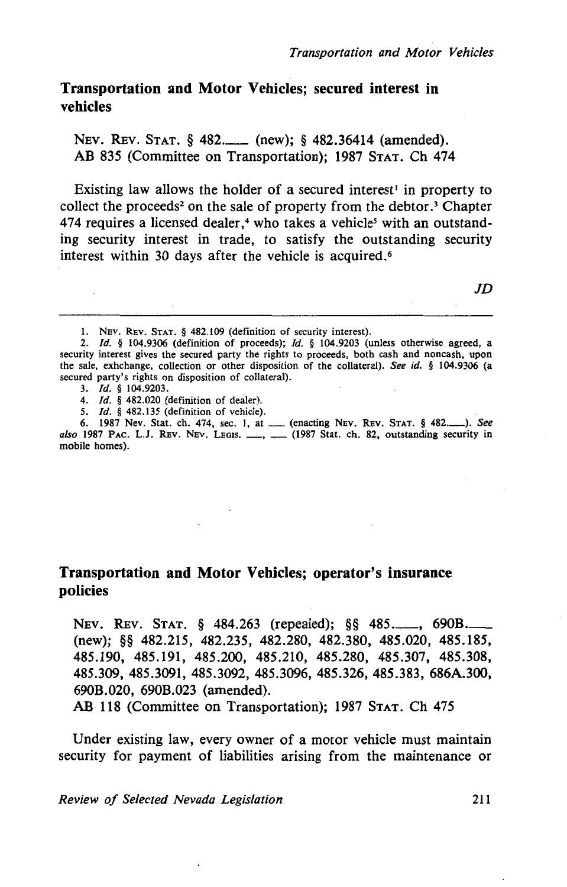### Transportation and Motor Vehicles; secured interest in vehicles

NEv. REv. STAT. § 482.\_ (new); § 482.36414 (amended). AB 835 (Committee on Transportation); 1987 STAT. Ch 474

Existing law allows the holder of a secured interest<sup>1</sup> in property to collect the proceeds<sup>2</sup> on the sale of property from the debtor.<sup>3</sup> Chapter 474 requires a licensed dealer,<sup>4</sup> who takes a vehicle<sup>5</sup> with an outstanding security interest in trade, to satisfy the outstanding security interest within 30 days after the vehicle is acquired.<sup>6</sup>

JD

- I. NEv. REv. STAT. § 482.109 (definition of security interest).
- 2. *ld.* § 104.9306 (definition of proceeds); *ld.* § 104.9203 (unless otherwise agreed, a security interest gives the secured party the rights to proceeds, both cash and noncash, upon the sale, exhchange, collection or other disposition of the collateral). *See id.* § 104.9306 (a secured party's rights on disposition of collateral).
	- 3. *ld.* § 104.9203.
	- 4. *ld.* § 482.020 (definition of deater).
	- 5. *ld.* § 482.135 (definition of vehicle).
- 6. 1987 Nev. Stat. ch. 474, sec. 1, at \_ (enacting NEv. REv. STAT. § 482.-). *See*   $also$  1987 PAC. L.J. REV. NEV. LEGIS.  $\_\_\_\_\_\_\_\_\_\_\_\_$  (1987 Stat. ch. 82, outstanding security in mobile homes).

#### Transportation and Motor Vehicles; operator's insurance policies

NEV. REV. STAT. § 484.263 (repealed); §§ 485.\_\_, 690B.\_\_\_ (new); §§ 482.215, 482.235, 482.280, 482.380, 485.020, 485.185, 485.190, 485.191, 485.200, 485.210, 485.280, 485.307, 485.308, 485.309, 485.3091, 485.3092, 485.3096, 485.326, 485.383, 686A.300, 690B.020, 690B.023 (amended).

AB 118 (Committee on Transportation); 1987 STAT. Ch 475

Under existing law, every owner of a motor vehicle must maintain security for payment of liabilities arising from the maintenance or

*Review of Selected Nevada Legislation* 211